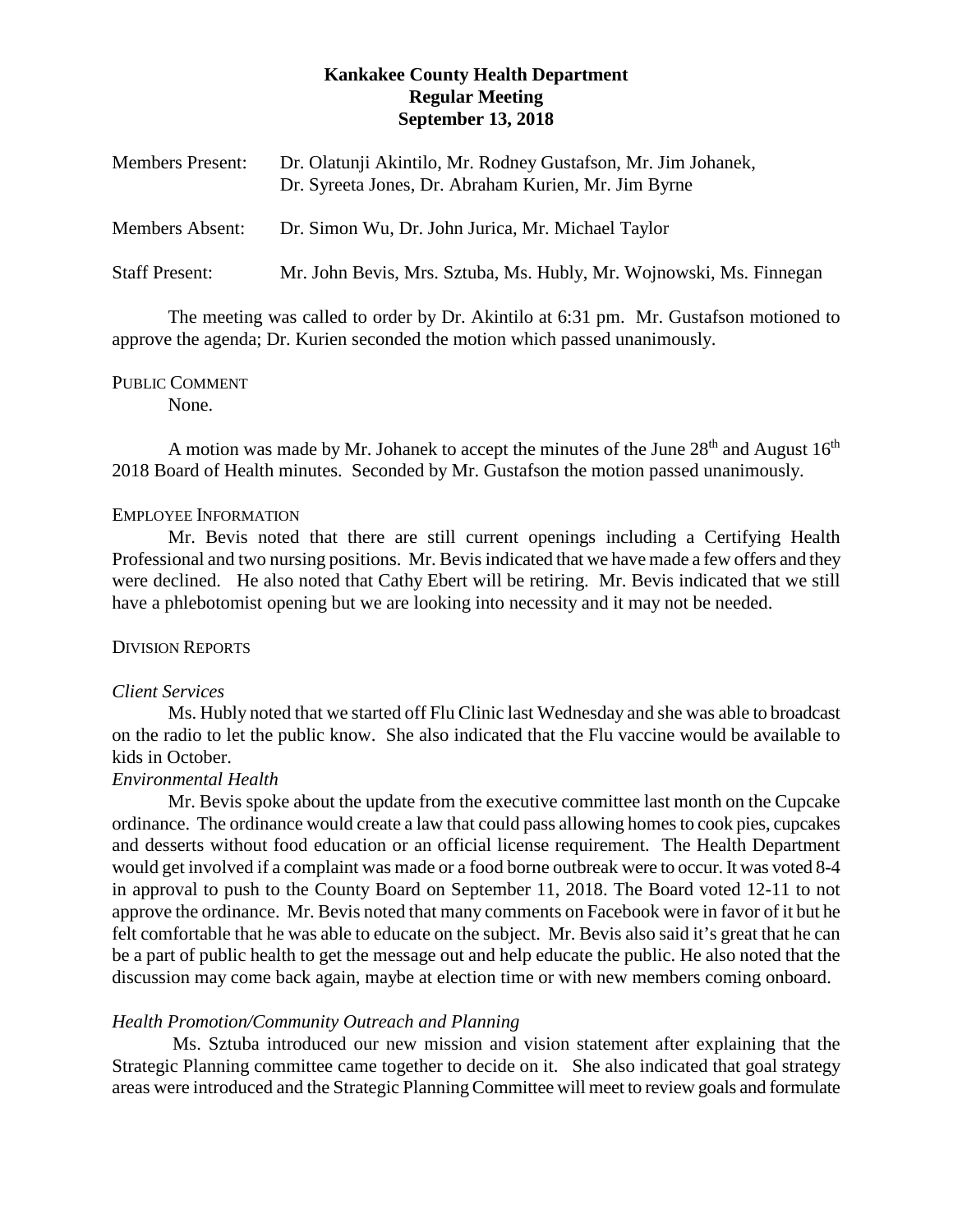# **Kankakee County Health Department Regular Meeting September 13, 2018**

| <b>Members Present:</b> | Dr. Olatunji Akintilo, Mr. Rodney Gustafson, Mr. Jim Johanek,<br>Dr. Syreeta Jones, Dr. Abraham Kurien, Mr. Jim Byrne |
|-------------------------|-----------------------------------------------------------------------------------------------------------------------|
| <b>Members Absent:</b>  | Dr. Simon Wu, Dr. John Jurica, Mr. Michael Taylor                                                                     |
| <b>Staff Present:</b>   | Mr. John Bevis, Mrs. Sztuba, Ms. Hubly, Mr. Wojnowski, Ms. Finnegan                                                   |

The meeting was called to order by Dr. Akintilo at 6:31 pm. Mr. Gustafson motioned to approve the agenda; Dr. Kurien seconded the motion which passed unanimously.

### PUBLIC COMMENT

None.

A motion was made by Mr. Johanek to accept the minutes of the June  $28<sup>th</sup>$  and August  $16<sup>th</sup>$ 2018 Board of Health minutes. Seconded by Mr. Gustafson the motion passed unanimously.

### EMPLOYEE INFORMATION

Mr. Bevis noted that there are still current openings including a Certifying Health Professional and two nursing positions. Mr. Bevis indicated that we have made a few offers and they were declined. He also noted that Cathy Ebert will be retiring. Mr. Bevis indicated that we still have a phlebotomist opening but we are looking into necessity and it may not be needed.

## DIVISION REPORTS

### *Client Services*

Ms. Hubly noted that we started off Flu Clinic last Wednesday and she was able to broadcast on the radio to let the public know. She also indicated that the Flu vaccine would be available to kids in October.

## *Environmental Health*

Mr. Bevis spoke about the update from the executive committee last month on the Cupcake ordinance. The ordinance would create a law that could pass allowing homes to cook pies, cupcakes and desserts without food education or an official license requirement. The Health Department would get involved if a complaint was made or a food borne outbreak were to occur. It was voted 8-4 in approval to push to the County Board on September 11, 2018. The Board voted 12-11 to not approve the ordinance. Mr. Bevis noted that many comments on Facebook were in favor of it but he felt comfortable that he was able to educate on the subject. Mr. Bevis also said it's great that he can be a part of public health to get the message out and help educate the public. He also noted that the discussion may come back again, maybe at election time or with new members coming onboard.

## *Health Promotion/Community Outreach and Planning*

Ms. Sztuba introduced our new mission and vision statement after explaining that the Strategic Planning committee came together to decide on it. She also indicated that goal strategy areas were introduced and the Strategic Planning Committee will meet to review goals and formulate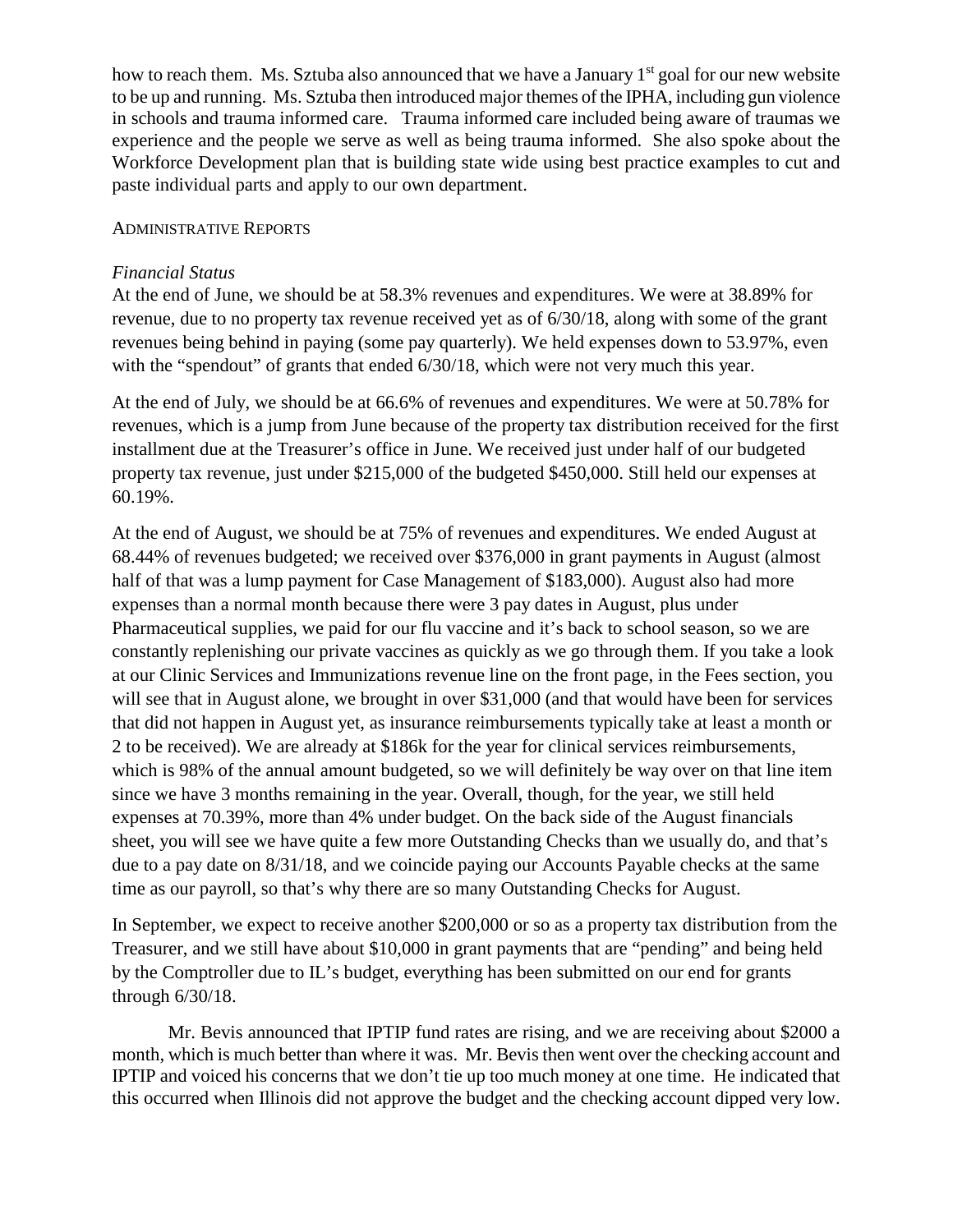how to reach them. Ms. Sztuba also announced that we have a January 1<sup>st</sup> goal for our new website to be up and running. Ms. Sztuba then introduced major themes of the IPHA, including gun violence in schools and trauma informed care. Trauma informed care included being aware of traumas we experience and the people we serve as well as being trauma informed. She also spoke about the Workforce Development plan that is building state wide using best practice examples to cut and paste individual parts and apply to our own department.

## ADMINISTRATIVE REPORTS

# *Financial Status*

At the end of June, we should be at 58.3% revenues and expenditures. We were at 38.89% for revenue, due to no property tax revenue received yet as of 6/30/18, along with some of the grant revenues being behind in paying (some pay quarterly). We held expenses down to 53.97%, even with the "spendout" of grants that ended  $6/30/18$ , which were not very much this year.

At the end of July, we should be at 66.6% of revenues and expenditures. We were at 50.78% for revenues, which is a jump from June because of the property tax distribution received for the first installment due at the Treasurer's office in June. We received just under half of our budgeted property tax revenue, just under \$215,000 of the budgeted \$450,000. Still held our expenses at 60.19%.

At the end of August, we should be at 75% of revenues and expenditures. We ended August at 68.44% of revenues budgeted; we received over \$376,000 in grant payments in August (almost half of that was a lump payment for Case Management of \$183,000). August also had more expenses than a normal month because there were 3 pay dates in August, plus under Pharmaceutical supplies, we paid for our flu vaccine and it's back to school season, so we are constantly replenishing our private vaccines as quickly as we go through them. If you take a look at our Clinic Services and Immunizations revenue line on the front page, in the Fees section, you will see that in August alone, we brought in over \$31,000 (and that would have been for services that did not happen in August yet, as insurance reimbursements typically take at least a month or 2 to be received). We are already at \$186k for the year for clinical services reimbursements, which is 98% of the annual amount budgeted, so we will definitely be way over on that line item since we have 3 months remaining in the year. Overall, though, for the year, we still held expenses at 70.39%, more than 4% under budget. On the back side of the August financials sheet, you will see we have quite a few more Outstanding Checks than we usually do, and that's due to a pay date on 8/31/18, and we coincide paying our Accounts Payable checks at the same time as our payroll, so that's why there are so many Outstanding Checks for August.

In September, we expect to receive another \$200,000 or so as a property tax distribution from the Treasurer, and we still have about \$10,000 in grant payments that are "pending" and being held by the Comptroller due to IL's budget, everything has been submitted on our end for grants through 6/30/18.

Mr. Bevis announced that IPTIP fund rates are rising, and we are receiving about \$2000 a month, which is much better than where it was. Mr. Bevis then went over the checking account and IPTIP and voiced his concerns that we don't tie up too much money at one time. He indicated that this occurred when Illinois did not approve the budget and the checking account dipped very low.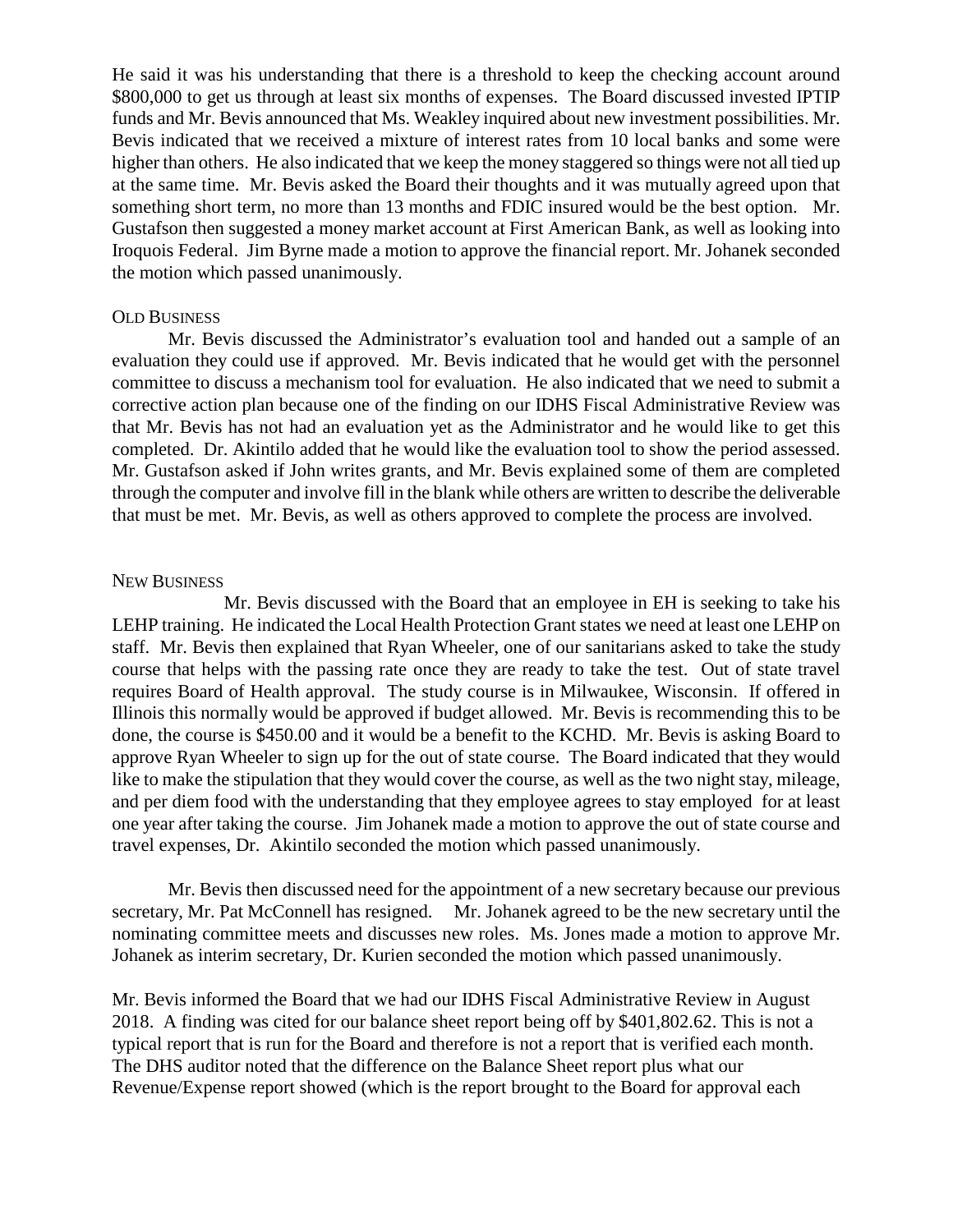He said it was his understanding that there is a threshold to keep the checking account around \$800,000 to get us through at least six months of expenses. The Board discussed invested IPTIP funds and Mr. Bevis announced that Ms. Weakley inquired about new investment possibilities. Mr. Bevis indicated that we received a mixture of interest rates from 10 local banks and some were higher than others. He also indicated that we keep the money staggered so things were not all tied up at the same time. Mr. Bevis asked the Board their thoughts and it was mutually agreed upon that something short term, no more than 13 months and FDIC insured would be the best option. Mr. Gustafson then suggested a money market account at First American Bank, as well as looking into Iroquois Federal. Jim Byrne made a motion to approve the financial report. Mr. Johanek seconded the motion which passed unanimously.

#### OLD BUSINESS

Mr. Bevis discussed the Administrator's evaluation tool and handed out a sample of an evaluation they could use if approved. Mr. Bevis indicated that he would get with the personnel committee to discuss a mechanism tool for evaluation. He also indicated that we need to submit a corrective action plan because one of the finding on our IDHS Fiscal Administrative Review was that Mr. Bevis has not had an evaluation yet as the Administrator and he would like to get this completed. Dr. Akintilo added that he would like the evaluation tool to show the period assessed. Mr. Gustafson asked if John writes grants, and Mr. Bevis explained some of them are completed through the computer and involve fill in the blank while others are written to describe the deliverable that must be met. Mr. Bevis, as well as others approved to complete the process are involved.

#### NEW BUSINESS

Mr. Bevis discussed with the Board that an employee in EH is seeking to take his LEHP training. He indicated the Local Health Protection Grant states we need at least one LEHP on staff. Mr. Bevis then explained that Ryan Wheeler, one of our sanitarians asked to take the study course that helps with the passing rate once they are ready to take the test. Out of state travel requires Board of Health approval. The study course is in Milwaukee, Wisconsin. If offered in Illinois this normally would be approved if budget allowed. Mr. Bevis is recommending this to be done, the course is \$450.00 and it would be a benefit to the KCHD. Mr. Bevis is asking Board to approve Ryan Wheeler to sign up for the out of state course. The Board indicated that they would like to make the stipulation that they would cover the course, as well as the two night stay, mileage, and per diem food with the understanding that they employee agrees to stay employed for at least one year after taking the course. Jim Johanek made a motion to approve the out of state course and travel expenses, Dr. Akintilo seconded the motion which passed unanimously.

Mr. Bevis then discussed need for the appointment of a new secretary because our previous secretary, Mr. Pat McConnell has resigned. Mr. Johanek agreed to be the new secretary until the nominating committee meets and discusses new roles. Ms. Jones made a motion to approve Mr. Johanek as interim secretary, Dr. Kurien seconded the motion which passed unanimously.

Mr. Bevis informed the Board that we had our IDHS Fiscal Administrative Review in August 2018. A finding was cited for our balance sheet report being off by \$401,802.62. This is not a typical report that is run for the Board and therefore is not a report that is verified each month. The DHS auditor noted that the difference on the Balance Sheet report plus what our Revenue/Expense report showed (which is the report brought to the Board for approval each